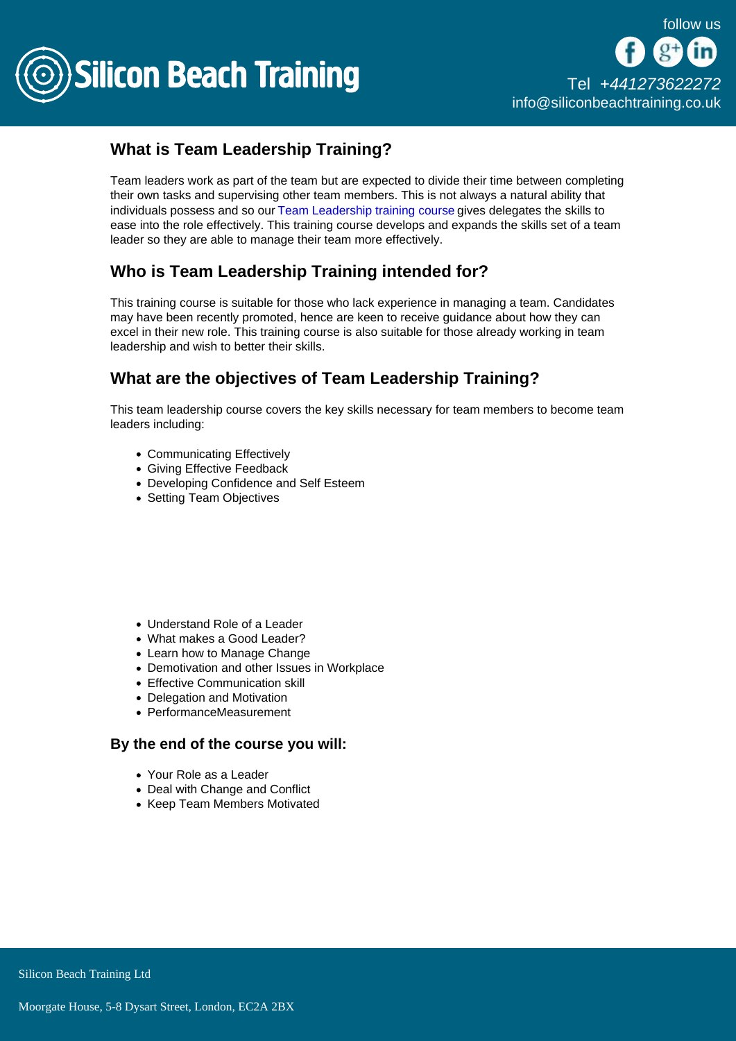

## What is Team Leadership Training?

Team leaders work as part of the team but are expected to divide their time between completing their own tasks and supervising other team members. This is not always a natural ability that individuals possess and so our [Team Leadership training course](/leadership-training) gives delegates the skills to ease into the role effectively. This training course develops and expands the skills set of a team leader so they are able to manage their team more effectively.

## Who is Team Leadership Training intended for?

This training course is suitable for those who lack experience in managing a team. Candidates may have been recently promoted, hence are keen to receive guidance about how they can excel in their new role. This training course is also suitable for those already working in team leadership and wish to better their skills.

## What are the objectives of Team Leadership Training?

This team leadership course covers the key skills necessary for team members to become team leaders including:

- Communicating Effectively
- Giving Effective Feedback
- Developing Confidence and Self Esteem
- Setting Team Objectives

- Understand Role of a Leader
- What makes a Good Leader?
- Learn how to Manage Change
- Demotivation and other Issues in Workplace
- Effective Communication skill
- Delegation and Motivation
- PerformanceMeasurement

By the end of the course you will:

- Your Role as a Leader
- Deal with Change and Conflict
- Keep Team Members Motivated